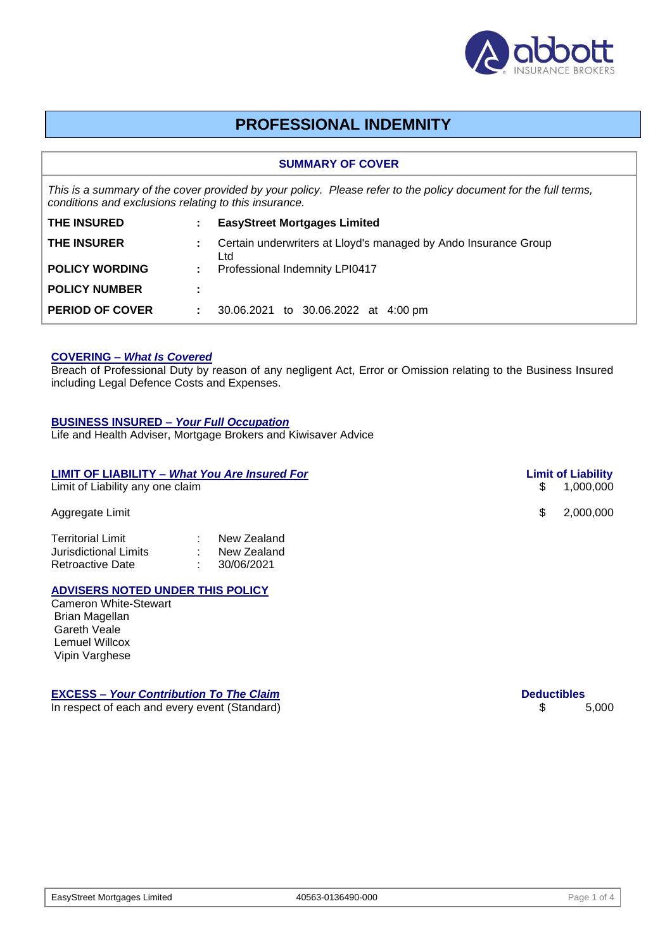

# **PROFESSIONAL INDEMNITY**

#### **SUMMARY OF COVER**

*This is a summary of the cover provided by your policy. Please refer to the policy document for the full terms, conditions and exclusions relating to this insurance.*

| <b>THE INSURED</b>     |   | <b>EasyStreet Mortgages Limited</b>                                      |  |
|------------------------|---|--------------------------------------------------------------------------|--|
| <b>THE INSURER</b>     |   | : Certain underwriters at Lloyd's managed by Ando Insurance Group<br>Ltd |  |
| <b>POLICY WORDING</b>  |   | <b>Professional Indemnity LPI0417</b>                                    |  |
| <b>POLICY NUMBER</b>   | ÷ |                                                                          |  |
| <b>PERIOD OF COVER</b> |   | 30.06.2021 to 30.06.2022 at 4:00 pm                                      |  |

#### **COVERING –** *What Is Covered*

Breach of Professional Duty by reason of any negligent Act, Error or Omission relating to the Business Insured including Legal Defence Costs and Expenses.

#### **BUSINESS INSURED –** *Your Full Occupation*

Life and Health Adviser, Mortgage Brokers and Kiwisaver Advice

| <b>LIMIT OF LIABILITY - What You Are Insured For</b><br>Limit of Liability any one claim | <b>Limit of Liability</b><br>1.000.000<br>\$. |                  |
|------------------------------------------------------------------------------------------|-----------------------------------------------|------------------|
| Aggregate Limit                                                                          |                                               | 2,000,000<br>SS. |
| <b>Territorial Limit</b><br>Jurisdictional Limits<br><b>Retroactive Date</b>             | New Zealand<br>New Zealand<br>30/06/2021      |                  |

# **ADVISERS NOTED UNDER THIS POLICY**

Cameron White-Stewart Brian Magellan Gareth Veale Lemuel Willcox Vipin Varghese

## **EXCESS –** *Your Contribution To The Claim* **Deductibles**

In respect of each and every event (Standard) \$ 5,000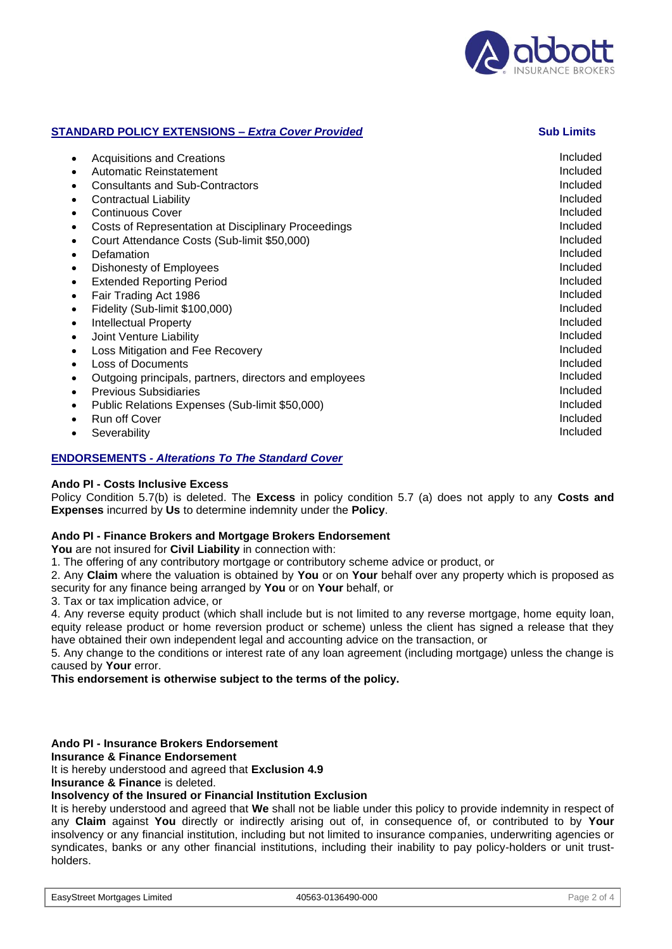

#### **STANDARD POLICY EXTENSIONS –** *Extra Cover Provided* **Sub Limits**

#### **ENDORSEMENTS** *- Alterations To The Standard Cover*

#### **Ando PI - Costs Inclusive Excess**

Policy Condition 5.7(b) is deleted. The **Excess** in policy condition 5.7 (a) does not apply to any **Costs and Expenses** incurred by **Us** to determine indemnity under the **Policy**.

#### **Ando PI - Finance Brokers and Mortgage Brokers Endorsement**

**You** are not insured for **Civil Liability** in connection with:

1. The offering of any contributory mortgage or contributory scheme advice or product, or

2. Any **Claim** where the valuation is obtained by **You** or on **Your** behalf over any property which is proposed as security for any finance being arranged by **You** or on **Your** behalf, or

3. Tax or tax implication advice, or

4. Any reverse equity product (which shall include but is not limited to any reverse mortgage, home equity loan, equity release product or home reversion product or scheme) unless the client has signed a release that they have obtained their own independent legal and accounting advice on the transaction, or

5. Any change to the conditions or interest rate of any loan agreement (including mortgage) unless the change is caused by **Your** error.

**This endorsement is otherwise subject to the terms of the policy.**

#### **Ando PI - Insurance Brokers Endorsement**

**Insurance & Finance Endorsement**

It is hereby understood and agreed that **Exclusion 4.9**

**Insurance & Finance** is deleted.

### **Insolvency of the Insured or Financial Institution Exclusion**

It is hereby understood and agreed that **We** shall not be liable under this policy to provide indemnity in respect of any **Claim** against **You** directly or indirectly arising out of, in consequence of, or contributed to by **Your**  insolvency or any financial institution, including but not limited to insurance companies, underwriting agencies or syndicates, banks or any other financial institutions, including their inability to pay policy-holders or unit trustholders.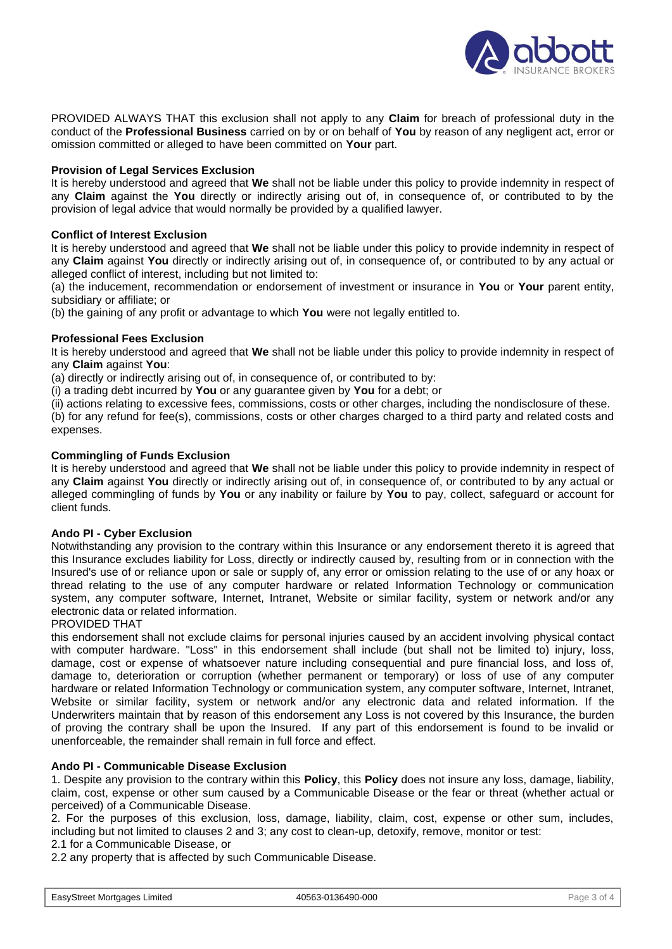

PROVIDED ALWAYS THAT this exclusion shall not apply to any **Claim** for breach of professional duty in the conduct of the **Professional Business** carried on by or on behalf of **You** by reason of any negligent act, error or omission committed or alleged to have been committed on **Your** part.

#### **Provision of Legal Services Exclusion**

It is hereby understood and agreed that **We** shall not be liable under this policy to provide indemnity in respect of any **Claim** against the **You** directly or indirectly arising out of, in consequence of, or contributed to by the provision of legal advice that would normally be provided by a qualified lawyer.

#### **Conflict of Interest Exclusion**

It is hereby understood and agreed that **We** shall not be liable under this policy to provide indemnity in respect of any **Claim** against **You** directly or indirectly arising out of, in consequence of, or contributed to by any actual or alleged conflict of interest, including but not limited to:

(a) the inducement, recommendation or endorsement of investment or insurance in **You** or **Your** parent entity, subsidiary or affiliate; or

(b) the gaining of any profit or advantage to which **You** were not legally entitled to.

### **Professional Fees Exclusion**

It is hereby understood and agreed that **We** shall not be liable under this policy to provide indemnity in respect of any **Claim** against **You**:

(a) directly or indirectly arising out of, in consequence of, or contributed to by:

(i) a trading debt incurred by **You** or any guarantee given by **You** for a debt; or

(ii) actions relating to excessive fees, commissions, costs or other charges, including the nondisclosure of these.

(b) for any refund for fee(s), commissions, costs or other charges charged to a third party and related costs and expenses.

#### **Commingling of Funds Exclusion**

It is hereby understood and agreed that **We** shall not be liable under this policy to provide indemnity in respect of any **Claim** against **You** directly or indirectly arising out of, in consequence of, or contributed to by any actual or alleged commingling of funds by **You** or any inability or failure by **You** to pay, collect, safeguard or account for client funds.

#### **Ando PI - Cyber Exclusion**

Notwithstanding any provision to the contrary within this Insurance or any endorsement thereto it is agreed that this Insurance excludes liability for Loss, directly or indirectly caused by, resulting from or in connection with the Insured's use of or reliance upon or sale or supply of, any error or omission relating to the use of or any hoax or thread relating to the use of any computer hardware or related Information Technology or communication system, any computer software, Internet, Intranet, Website or similar facility, system or network and/or any electronic data or related information.

#### PROVIDED THAT

this endorsement shall not exclude claims for personal injuries caused by an accident involving physical contact with computer hardware. "Loss" in this endorsement shall include (but shall not be limited to) injury, loss, damage, cost or expense of whatsoever nature including consequential and pure financial loss, and loss of, damage to, deterioration or corruption (whether permanent or temporary) or loss of use of any computer hardware or related Information Technology or communication system, any computer software, Internet, Intranet, Website or similar facility, system or network and/or any electronic data and related information. If the Underwriters maintain that by reason of this endorsement any Loss is not covered by this Insurance, the burden of proving the contrary shall be upon the Insured. If any part of this endorsement is found to be invalid or unenforceable, the remainder shall remain in full force and effect.

#### **Ando PI - Communicable Disease Exclusion**

1. Despite any provision to the contrary within this **Policy**, this **Policy** does not insure any loss, damage, liability, claim, cost, expense or other sum caused by a Communicable Disease or the fear or threat (whether actual or perceived) of a Communicable Disease.

2. For the purposes of this exclusion, loss, damage, liability, claim, cost, expense or other sum, includes, including but not limited to clauses 2 and 3; any cost to clean-up, detoxify, remove, monitor or test:

2.1 for a Communicable Disease, or

2.2 any property that is affected by such Communicable Disease.